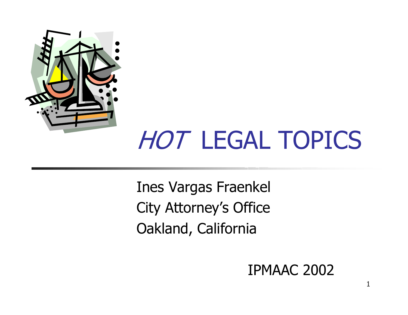

# HOT LEGAL TOPICS

Ines Vargas Fraenkel City Attorney's Office Oakland, California

#### IPMAAC 2002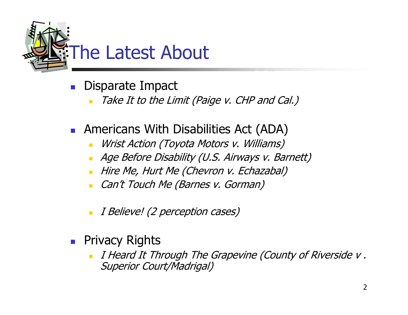

- Ξ Disparate Impact
	- Take It to the Limit (Paige v. CHP and Cal.)
- **Americans With Disabilities Act (ADA)** 
	- Wrist Action (Toyota Motors v. Williams)
	- Age Before Disability (U.S. Airways v. Barnett)
	- Hire Me, Hurt Me (Chevron v. Echazabal)
	- Can't Touch Me (Barnes v. Gorman)
	- I Believe! (2 perception cases)
- **Privacy Rights** 
	- I Heard It Through The Grapevine (County of Riverside v . Superior Court/Madrigal)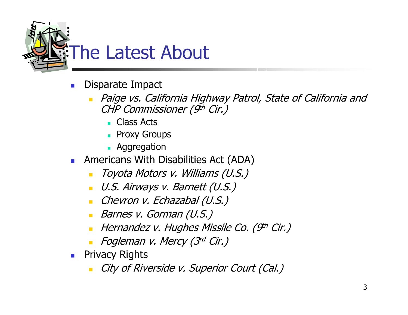

- F. Disparate Impact
	- $\blacksquare$  Paige vs. California Highway Patrol, State of California and CHP Commissioner (9th Cir.)
		- Class Acts
		- **Proxy Groups**
		- **Aggregation**
- Americans With Disabilities Act (ADA)
	- Toyota Motors v. Williams (U.S.)
	- U.S. Airways v. Barnett (U.S.)
	- Chevron v. Echazabal (U.S.)
	- Barnes v. Gorman (U.S.)
	- Hernandez v. Hughes Missile Co. (9th Cir.)
	- **-** Fogleman v. Mercy (3rd Cir.)
- **Privacy Rights** 
	- City of Riverside v. Superior Court (Cal.)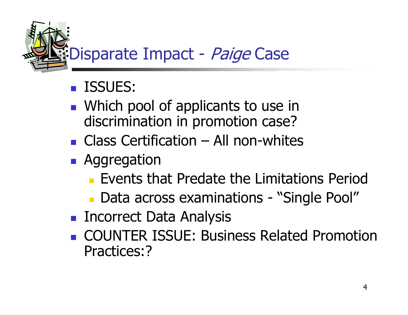

#### $\mathbb{R}^n$ ISSUES:

- **Number 10 Number 10 and 10 Number 10 Number** 10 Number 10 Number 10 Number 10 Number 10 Number 10 Number 10 Number discrimination in promotion case?
- Class Certification All non-whites
- **Aggregation** 
	- **Events that Predate the Limitations Period**
	- Data across examinations "Single Pool"
- **Incorrect Data Analysis**
- **COUNTER ISSUE: Business Related Promotion** Practices:?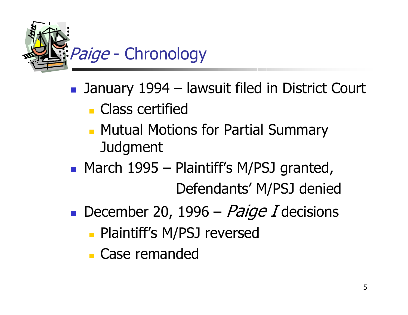

- January 1994 lawsuit filed in District Court
	- **Class certified**
	- **Mutual Motions for Partial Summary** Judgment
- **March 1995 Plaintiff's M/PSJ granted,** Defendants' M/PSJ denied
- December 20, 1996 Paige I decisions
	- **Plaintiff's M/PSJ reversed**
	- **Case remanded**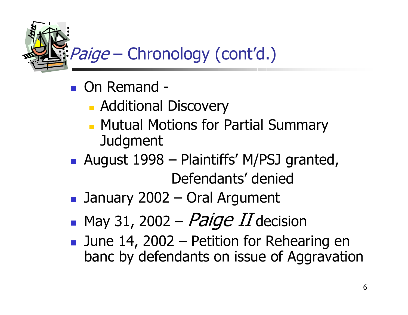Paige – Chronology (cont'd.)

- On Remand -
	- **Additional Discovery**
	- **Mutual Motions for Partial Summary** Judgment
- August 1998 Plaintiffs' M/PSJ granted, Defendants' denied
- $\mathbb{R}^2$ January 2002 – Oral Argument
- $\mathbb{R}^n$  $\blacksquare$  May 31, 2002 –  $Paige$   $II$  decision
- **June 14, 2002 Petition for Rehearing en** banc by defendants on issue of Aggravation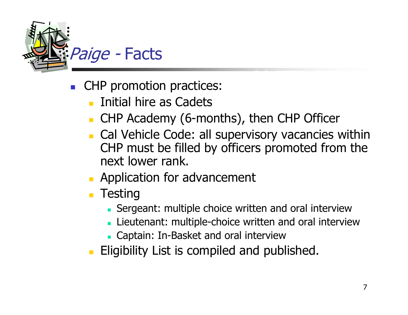

- Ξ CHP promotion practices:
	- Initial hire as Cadets
	- CHP Academy (6-months), then CHP Officer
	- **Cal Vehicle Code: all supervisory vacancies within** CHP must be filled by officers promoted from the next lower rank.
	- **Application for advancement**
	- **Testing** 
		- Sergeant: multiple choice written and oral interview
		- **Lieutenant: multiple-choice written and oral interview**
		- Captain: In-Basket and oral interview
	- **Eligibility List is compiled and published.**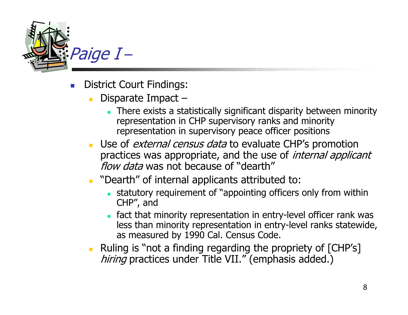

- F. District Court Findings:
	- $\blacksquare$  Disparate Impact –
		- There exists a statistically significant disparity between minority representation in CHP supervisory ranks and minority representation in supervisory peace officer positions
	- **Use of** *external census data* **to evaluate CHP's promotion** practices was appropriate, and the use of *internal applicant* flow data was not because of "dearth"
	- **Dearth**" of internal applicants attributed to:
		- statutory requirement of "appointing officers only from within CHP", and
		- fact that minority representation in entry-level officer rank was less than minority representation in entry-level ranks statewide, as measured by 1990 Cal. Census Code.
	- Ruling is "not a finding regarding the propriety of [CHP's] hiring practices under Title VII." (emphasis added.)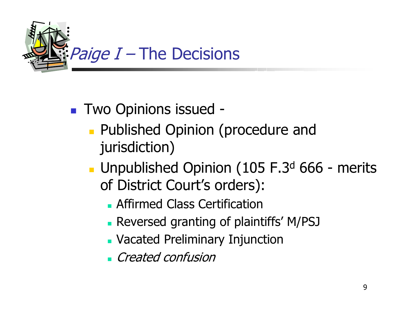

### ■ Two Opinions issued -

- **Published Opinion (procedure and** jurisdiction)
- Unpublished Opinion (105 F.3<sup>d</sup> 666 merits of District Court's orders):
	- **Affirmed Class Certification**
	- Reversed granting of plaintiffs' M/PSJ
	- Vacated Preliminary Injunction
	- **Created confusion**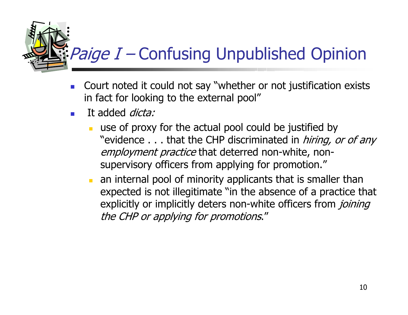## $\frac{1}{2}$  *Paige I –* Confusing Unpublished Opinion

- F. Court noted it could not say "whether or not justification exists in fact for looking to the external pool"
- F. It added *dicta:* 
	- use of proxy for the actual pool could be justified by "evidence . . . that the CHP discriminated in *hiring, or of any* employment practice that deterred non-white, nonsupervisory officers from applying for promotion."
	- an internal pool of minority applicants that is smaller than expected is not illegitimate "in the absence of a practice that explicitly or implicitly deters non-white officers from *joining* the CHP or applying for promotions."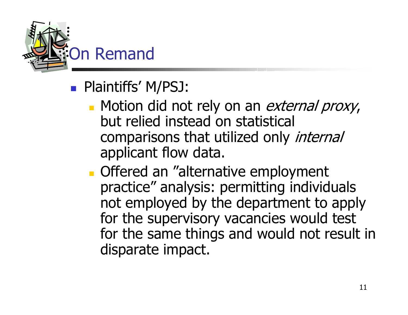

- **Plaintiffs' M/PSJ:** 
	- Motion did not rely on an *external proxy*, but relied instead on statistical comparisons that utilized only *internal* applicant flow data.
	- **Offered an "alternative employment"** practice" analysis: permitting individuals not employed by the department to apply for the supervisory vacancies would test for the same things and would not result in disparate impact.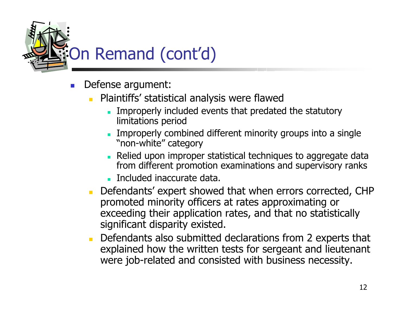

- F. Defense argument:
	- Plaintiffs' statistical analysis were flawed
		- Improperly included events that predated the statutory limitations period
		- П **Improperly combined different minority groups into a single** "non-white" category
		- П Relied upon improper statistical techniques to aggregate data from different promotion examinations and supervisory ranks
		- **Included inaccurate data.**
	- Defendants' expert showed that when errors corrected, CHP promoted minority officers at rates approximating or exceeding their application rates, and that no statistically significant disparity existed.
	- Defendants also submitted declarations from 2 experts that explained how the written tests for sergeant and lieutenant were job-related and consisted with business necessity.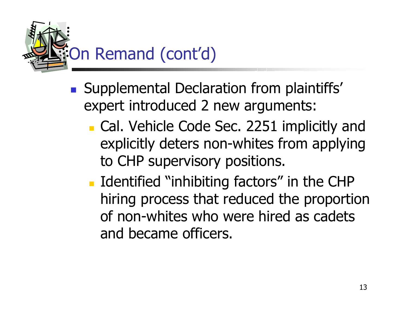

- **Supplemental Declaration from plaintiffs'** expert introduced 2 new arguments:
	- **Cal. Vehicle Code Sec. 2251 implicitly and** explicitly deters non-whites from applying to CHP supervisory positions.
	- **I** Identified "inhibiting factors" in the CHP hiring process that reduced the proportion of non-whites who were hired as cadets and became officers.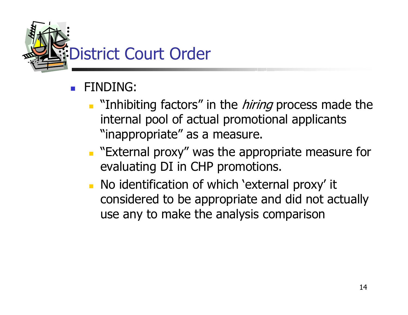

- F FINDING:
	- **Thing factors**" in the *hiring* process made the internal pool of actual promotional applicants "inappropriate" as a measure.
	- **External proxy" was the appropriate measure for** evaluating DI in CHP promotions.
	- **No identification of which 'external proxy' it** considered to be appropriate and did not actually use any to make the analysis comparison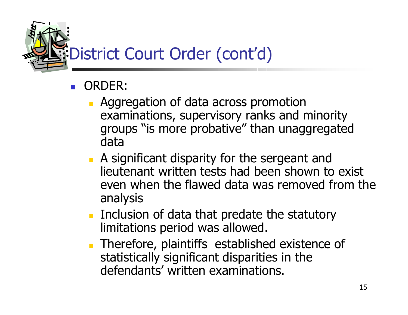

#### Ξ ORDER:

- **Aggregation of data across promotion** examinations, supervisory ranks and minority groups "is more probative" than unaggregated data
- **A** significant disparity for the sergeant and lieutenant written tests had been shown to exist even when the flawed data was removed from the analysis
- **Inclusion of data that predate the statutory** limitations period was allowed.
- **Therefore, plaintiffs established existence of** statistically significant disparities in the defendants' written examinations.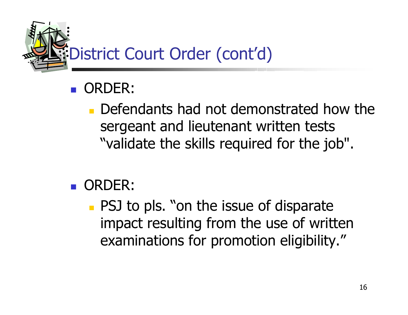

#### $\mathbb{R}^2$ ORDER:

 $\blacksquare$  Defendants had not demonstrated how the sergeant and lieutenant written tests "validate the skills required for the job".

#### **DRDER:**

**PSJ to pls. "on the issue of disparate** impact resulting from the use of written examinations for promotion eligibility."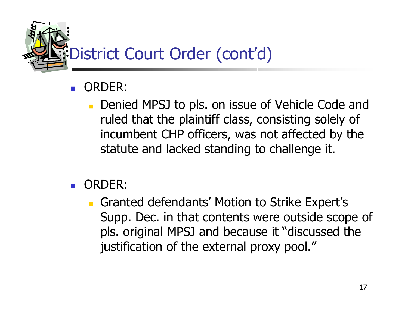

#### F ORDER:

- Denied MPSJ to pls. on issue of Vehicle Code and ruled that the plaintiff class, consisting solely of incumbent CHP officers, was not affected by the statute and lacked standing to challenge it.
- F ORDER:
	- **Granted defendants' Motion to Strike Expert's** Supp. Dec. in that contents were outside scope of pls. original MPSJ and because it "discussed the justification of the external proxy pool."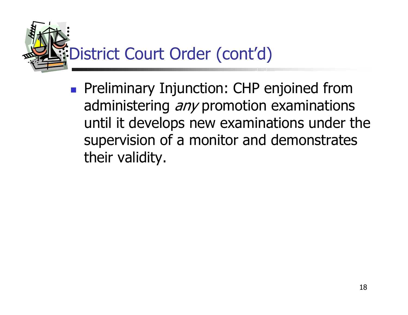

**Preliminary Injunction: CHP enjoined from** administering *any* promotion examinations until it develops new examinations under the supervision of a monitor and demonstrates their validity.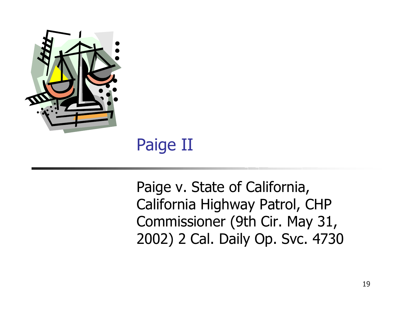

### Paige II

Paige v. State of California, California Highway Patrol, CHP Commissioner (9th Cir. May 31, 2002) 2 Cal. Daily Op. Svc. 4730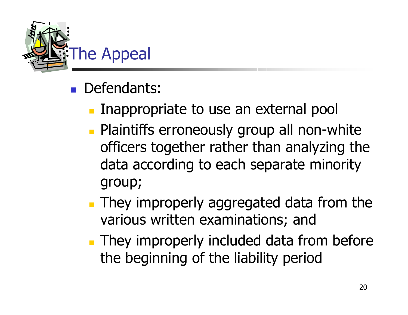

- **Defendants:** 
	- Inappropriate to use an external pool
	- **Plaintiffs erroneously group all non-white** officers together rather than analyzing the data according to each separate minority group;
	- **They improperly aggregated data from the** various written examinations; and
	- **They improperly included data from before** the beginning of the liability period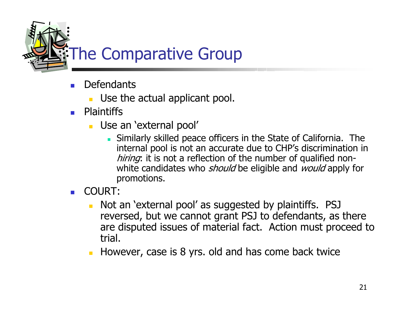The Comparative Group

- F. **Defendants** 
	- **Use the actual applicant pool.**
- **Plaintiffs** 
	- Use an 'external pool'
		- Similarly skilled peace officers in t he State of California. The internal pool is not an accurate due to CHP's discrimination in hiring: it is not a reflection of the number of qualified nonwhite candidates who *should* be eligible and *would* apply for promotions.
- $\mathbf{r}$  COURT:
	- Not an 'external pool' as suggested by plaintiffs. PSJ reversed, but we c annot grant PSJ to defendants, as there are disputed issues of material fact. Action must proceed to trial.
	- However, case is 8 yrs. old and has come back twice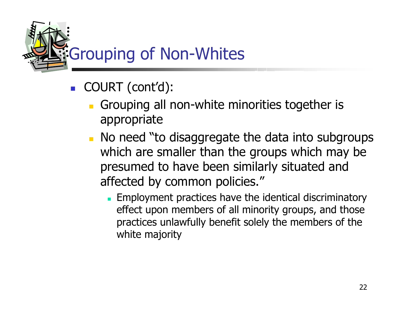

- F COURT (cont'd):
	- **Grouping all non-white minorities together is** appropriate
	- **No need "to disaggregate the data into subgroups** which are smaller than the groups which may be presumed to have been similarly situated and affected by common policies."
		- **Employment practices have the identical discriminatory** effect upon members of all minority groups, and those practices unlawfully benefit solely the members of the white majority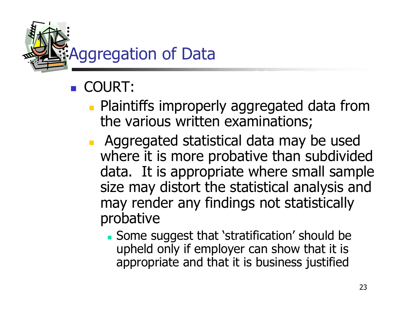

### **COURT:**

- **Plaintiffs improperly aggregated data from** the various written examinations;
- **Aggregated statistical data may be used** where it is more probative than subdivided data. It is appropriate where small sample size may distort the statistical analysis and may render any findings not statistically probative
	- Some suggest that 'stratification' should be upheld only if employer can show that it is appropriate and that it is business justified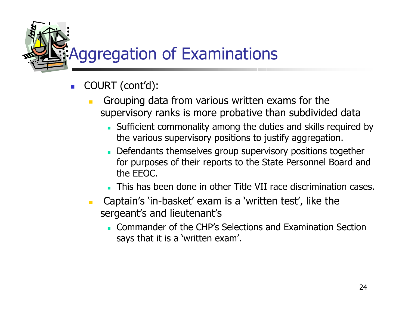Aggregation of Examinations

- F. COURT (cont'd):
	- Grouping data from various writt en exams for the supervisory ranks is more probative than subdivided data
		- Sufficient c ommonality among the duties and skills required by the various supervisory positions to justify aggregation.
		- Defendants themselves group supervisory positions together for purposes of their reports to the State Personnel Board and the EEOC.
		- This has been done in other Title VII race discrimination cases.
	- Captain's 'in-basket' exam is a 'written test', like the sergeant's and lieutenant's
		- **Commander of the CHP's Selections and Examination Section** says that it is a 'written exam'.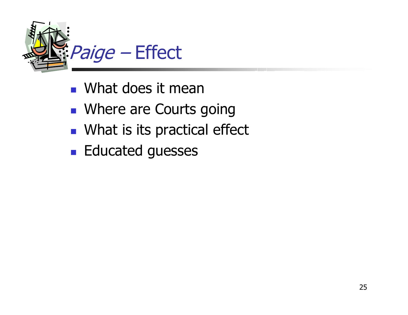

- **Nhat does it mean**
- **Number 2.5 Number 2.5 Number 2.5 Number** Spoing
- **NHAT IS Its practical effect**
- **Educated guesses**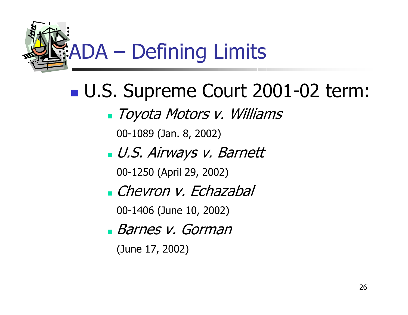

#### U.S. Supreme Court 2001-02 term:

Toyota Motors v. Williams

00-1089 (Jan. 8, 2002)

U.S. Airways v. Barnett

00-1250 (April 29, 2002)

Chevron v. Echazabal

00-1406 (June 10, 2002)

Barnes v. Gorman

(June 17, 2002)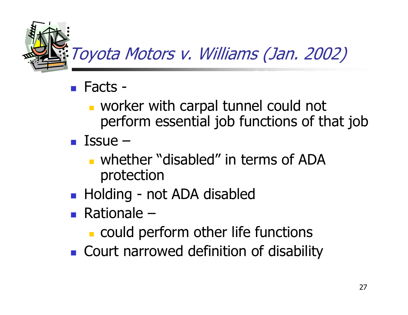

- Facts
	- worker with carpal tunnel could not perform essential job functions of that job
- $\blacksquare$  Issue  $\blacksquare$ 
	- **u** whether "disabled" in terms of ADA protection
- Holding not ADA disabled
- Rationale
	- **Could perform other life functions**
- **Court narrowed definition of disability**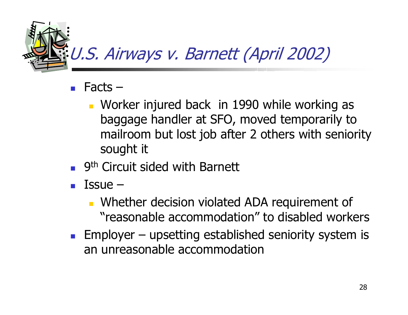

- Facts
	- **Norker injured back in 1990 while working as** baggage handler at SFO, moved temporarily to mailroom but lost job after 2 others with seniority sought it
- F 9<sup>th</sup> Circuit sided with Barnett
- F Issue –
	- **Number 12 Number** Violated ADA requirement of "reasonable accommodation" to disabled workers
- Employer upsetting established seniority system is an unreasonable accommodation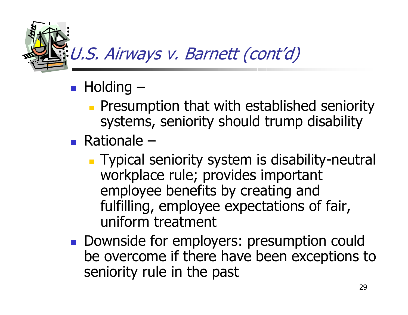

### **• Holding** –

- **Presumption that with established seniority** systems, seniority should trump disability
- Rationale
	- **Typical seniority system is disability-neutral** workplace rule; provides important employee benefits by creating and fulfilling, employee expectations of fair, uniform treatment
- **Downside for employers: presumption could** be overcome if there have been exceptions to seniority rule in the past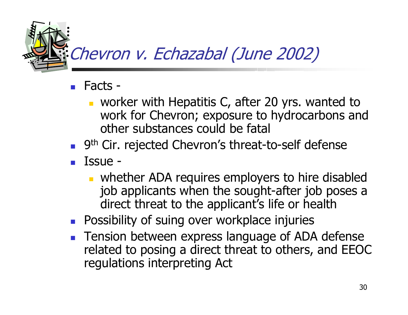

- Facts
	- **u** worker with Hepatitis C, after 20 yrs. wanted to work for Chevron; exposure to hydrocarbons and other substances could be fatal
- 9<sup>th</sup> Cir. rejected Chevron's threat-to-self defense
- Issue -
	- **No. 2** whether ADA requires employers to hire disabled job applicants when the sought-after job poses a direct threat to the applicant's life or health
- **Possibility of suing over workplace injuries**
- **Tension between express language of ADA defense** related to posing a direct threat to others, and EEOC regulations interpreting Act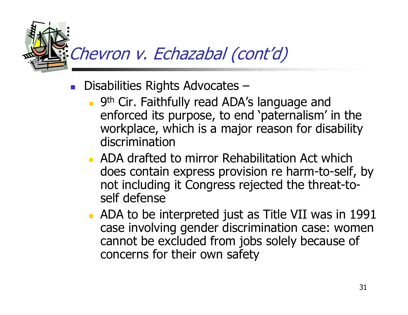

- Disabilities Rights Advocates
	- **9th Cir. Faithfully read ADA's language and** enforced its purpose, to end 'paternalism' in the workplace, which is a major reason for disability discrimination
	- **ADA drafted to mirror Rehabilitation Act which** does contain express provision re harm-to-self, by not including it Congress rejected the threat-toself defense
	- **ADA to be interpreted just as Title VII was in 1991** case involving gender discrimination case: women cannot be excluded from jobs solely because of concerns for their own safety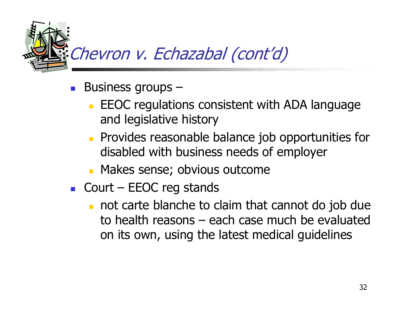

- $\mathcal{L}_{\mathrm{eff}}$  Business groups –
	- **EEOC regulations consistent with ADA language** and legislative history
	- **Provides reasonable balance job opportunities for** disabled with business needs of employer
	- **Makes sense; obvious outcome**
- Court EEOC reg stands
	- not carte blanche to claim that cannot do job due to health reasons – each case much be evaluated on its own, using the latest medical guidelines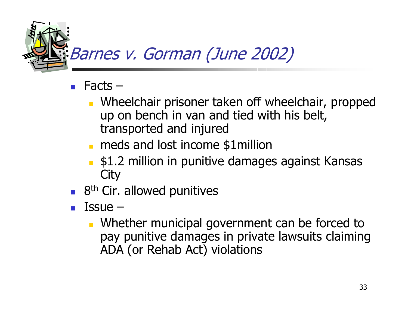

- Ξ Facts –
	- **Number 19 and 10 Septem Stephen Fight** Wheelchair, propped up on bench in van and tied with his belt, transported and injured
	- **n** meds and lost income \$1 million
	- \$1.2 million in punitive damages against Kansas **City**
- 8<sup>th</sup> Cir. allowed punitives
- Ξ Issue –
	- **Number 20** Municipal government can be forced to pay punitive damages in private lawsuits claiming ADA (or Rehab Act) violations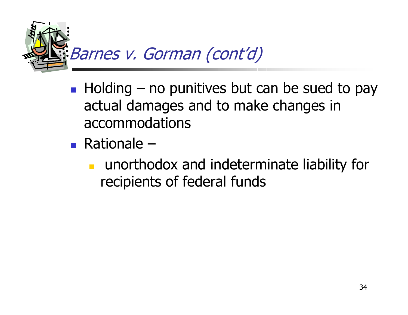

- Holding no punitives but can be sued to pay actual damages and to make changes in accommodations
- Rationale
	- m. unorthodox and indeterminate liability for recipients of federal funds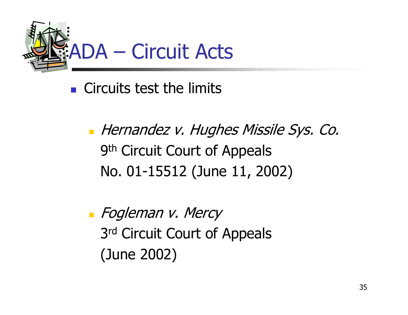

**Circuits test the limits** 

**-** Hernandez v. Hughes Missile Sys. Co. 9th Circuit Court of Appeals No. 01-15512 (June 11, 2002)

**-** Fogleman v. Mercy 3rd Circuit Court of Appeals (June 2002)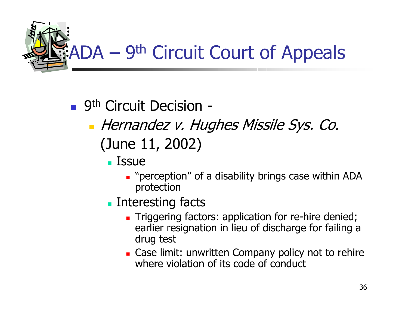

### ■ 9<sup>th</sup> Circuit Decision -

- **-** Hernandez v. Hughes Missile Sys. Co. (June 11, 2002)
	- $\blacksquare$  Issue
		- **.** "perception" of a disability brings case within ADA protection
	- **Interesting facts** 
		- **Triggering factors: application for re-hire denied;** earlier resignation in lieu of discharge for failing a drug test
		- **Example 20 IG 2018 Company policy not to rehire** where violation of its code of conduct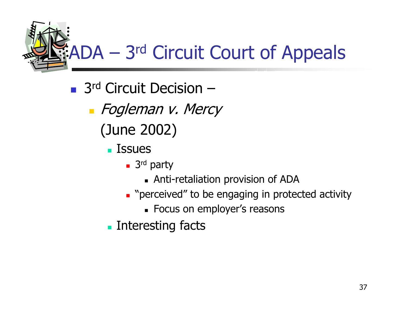ADA – 3rd Circuit Court of Appeals

- 3<sup>rd</sup> Circuit Decision
	- **-** Fogleman v. Mercy
		- (June 2002)
			- **L** Issues
				- 3<sup>rd</sup> party
					- Anti-retaliation provision of ADA
				- **.** "perceived" to be engaging in protected activity
					- Focus on employer's reasons
			- **Interesting facts**